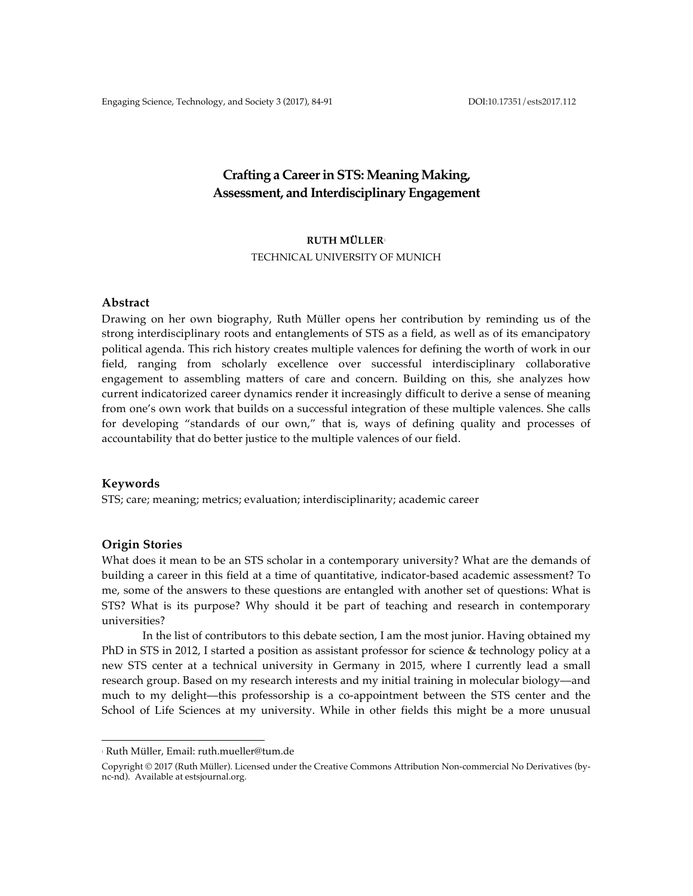Engaging Science, Technology, and Society 3 (2017), 84-91 DOI:10.17351/ests2017.112

# **Crafting a Career in STS: Meaning Making, Assessment, and Interdisciplinary Engagement**

# **RUTH MÜLLER**<sup>1</sup>

TECHNICAL UNIVERSITY OF MUNICH

### **Abstract**

Drawing on her own biography, Ruth Müller opens her contribution by reminding us of the strong interdisciplinary roots and entanglements of STS as a field, as well as of its emancipatory political agenda. This rich history creates multiple valences for defining the worth of work in our field, ranging from scholarly excellence over successful interdisciplinary collaborative engagement to assembling matters of care and concern. Building on this, she analyzes how current indicatorized career dynamics render it increasingly difficult to derive a sense of meaning from one's own work that builds on a successful integration of these multiple valences. She calls for developing "standards of our own," that is, ways of defining quality and processes of accountability that do better justice to the multiple valences of our field.

# **Keywords**

STS; care; meaning; metrics; evaluation; interdisciplinarity; academic career

# **Origin Stories**

What does it mean to be an STS scholar in a contemporary university? What are the demands of building a career in this field at a time of quantitative, indicator-based academic assessment? To me, some of the answers to these questions are entangled with another set of questions: What is STS? What is its purpose? Why should it be part of teaching and research in contemporary universities?

In the list of contributors to this debate section, I am the most junior. Having obtained my PhD in STS in 2012, I started a position as assistant professor for science & technology policy at a new STS center at a technical university in Germany in 2015, where I currently lead a small research group. Based on my research interests and my initial training in molecular biology—and much to my delight––this professorship is a co-appointment between the STS center and the School of Life Sciences at my university. While in other fields this might be a more unusual

 

<sup>1</sup> Ruth Müller, Email: ruth.mueller@tum.de

Copyright © 2017 (Ruth Müller). Licensed under the Creative Commons Attribution Non-commercial No Derivatives (bync-nd). Available at estsjournal.org.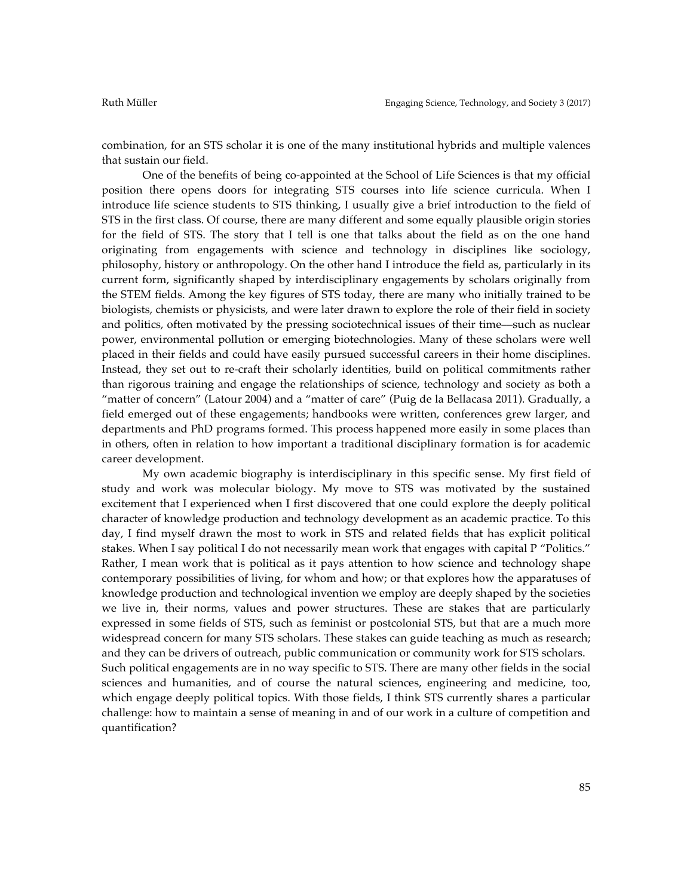combination, for an STS scholar it is one of the many institutional hybrids and multiple valences that sustain our field.

One of the benefits of being co-appointed at the School of Life Sciences is that my official position there opens doors for integrating STS courses into life science curricula. When I introduce life science students to STS thinking, I usually give a brief introduction to the field of STS in the first class. Of course, there are many different and some equally plausible origin stories for the field of STS. The story that I tell is one that talks about the field as on the one hand originating from engagements with science and technology in disciplines like sociology, philosophy, history or anthropology. On the other hand I introduce the field as, particularly in its current form, significantly shaped by interdisciplinary engagements by scholars originally from the STEM fields. Among the key figures of STS today, there are many who initially trained to be biologists, chemists or physicists, and were later drawn to explore the role of their field in society and politics, often motivated by the pressing sociotechnical issues of their time––such as nuclear power, environmental pollution or emerging biotechnologies. Many of these scholars were well placed in their fields and could have easily pursued successful careers in their home disciplines. Instead, they set out to re-craft their scholarly identities, build on political commitments rather than rigorous training and engage the relationships of science, technology and society as both a "matter of concern" (Latour 2004) and a "matter of care" (Puig de la Bellacasa 2011). Gradually, a field emerged out of these engagements; handbooks were written, conferences grew larger, and departments and PhD programs formed. This process happened more easily in some places than in others, often in relation to how important a traditional disciplinary formation is for academic career development.

My own academic biography is interdisciplinary in this specific sense. My first field of study and work was molecular biology. My move to STS was motivated by the sustained excitement that I experienced when I first discovered that one could explore the deeply political character of knowledge production and technology development as an academic practice. To this day, I find myself drawn the most to work in STS and related fields that has explicit political stakes. When I say political I do not necessarily mean work that engages with capital P "Politics." Rather, I mean work that is political as it pays attention to how science and technology shape contemporary possibilities of living, for whom and how; or that explores how the apparatuses of knowledge production and technological invention we employ are deeply shaped by the societies we live in, their norms, values and power structures. These are stakes that are particularly expressed in some fields of STS, such as feminist or postcolonial STS, but that are a much more widespread concern for many STS scholars. These stakes can guide teaching as much as research; and they can be drivers of outreach, public communication or community work for STS scholars. Such political engagements are in no way specific to STS. There are many other fields in the social sciences and humanities, and of course the natural sciences, engineering and medicine, too, which engage deeply political topics. With those fields, I think STS currently shares a particular challenge: how to maintain a sense of meaning in and of our work in a culture of competition and quantification?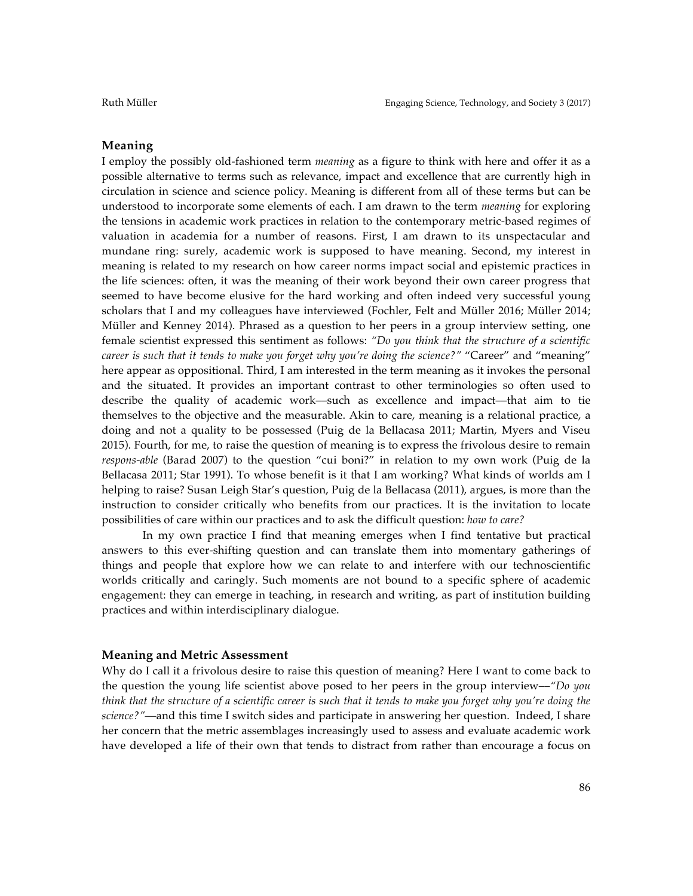# **Meaning**

I employ the possibly old-fashioned term *meaning* as a figure to think with here and offer it as a possible alternative to terms such as relevance, impact and excellence that are currently high in circulation in science and science policy. Meaning is different from all of these terms but can be understood to incorporate some elements of each. I am drawn to the term *meaning* for exploring the tensions in academic work practices in relation to the contemporary metric-based regimes of valuation in academia for a number of reasons. First, I am drawn to its unspectacular and mundane ring: surely, academic work is supposed to have meaning. Second, my interest in meaning is related to my research on how career norms impact social and epistemic practices in the life sciences: often, it was the meaning of their work beyond their own career progress that seemed to have become elusive for the hard working and often indeed very successful young scholars that I and my colleagues have interviewed (Fochler, Felt and Müller 2016; Müller 2014; Müller and Kenney 2014). Phrased as a question to her peers in a group interview setting, one female scientist expressed this sentiment as follows: *"Do you think that the structure of a scientific career is such that it tends to make you forget why you're doing the science?"* "Career" and "meaning" here appear as oppositional. Third, I am interested in the term meaning as it invokes the personal and the situated. It provides an important contrast to other terminologies so often used to describe the quality of academic work––such as excellence and impact––that aim to tie themselves to the objective and the measurable. Akin to care, meaning is a relational practice, a doing and not a quality to be possessed (Puig de la Bellacasa 2011; Martin, Myers and Viseu 2015). Fourth, for me, to raise the question of meaning is to express the frivolous desire to remain *respons-able* (Barad 2007) to the question "cui boni?" in relation to my own work (Puig de la Bellacasa 2011; Star 1991). To whose benefit is it that I am working? What kinds of worlds am I helping to raise? Susan Leigh Star's question, Puig de la Bellacasa (2011), argues, is more than the instruction to consider critically who benefits from our practices. It is the invitation to locate possibilities of care within our practices and to ask the difficult question: *how to care?*

In my own practice I find that meaning emerges when I find tentative but practical answers to this ever-shifting question and can translate them into momentary gatherings of things and people that explore how we can relate to and interfere with our technoscientific worlds critically and caringly. Such moments are not bound to a specific sphere of academic engagement: they can emerge in teaching, in research and writing, as part of institution building practices and within interdisciplinary dialogue.

# **Meaning and Metric Assessment**

Why do I call it a frivolous desire to raise this question of meaning? Here I want to come back to the question the young life scientist above posed to her peers in the group interview––*"Do you think that the structure of a scientific career is such that it tends to make you forget why you're doing the science?"––*and this time I switch sides and participate in answering her question. Indeed, I share her concern that the metric assemblages increasingly used to assess and evaluate academic work have developed a life of their own that tends to distract from rather than encourage a focus on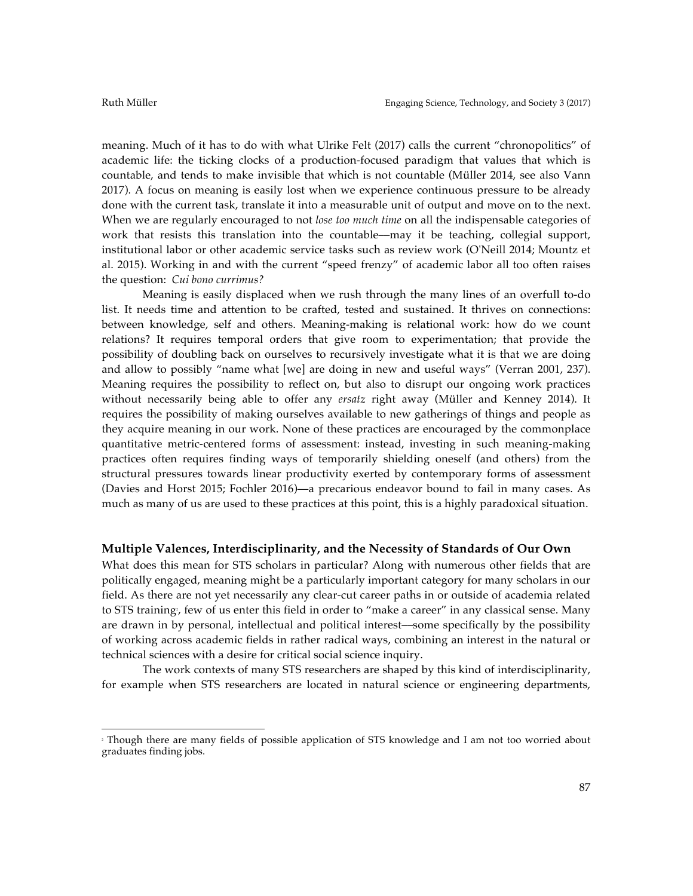meaning. Much of it has to do with what Ulrike Felt (2017) calls the current "chronopolitics" of academic life: the ticking clocks of a production-focused paradigm that values that which is countable, and tends to make invisible that which is not countable (Müller 2014, see also Vann 2017). A focus on meaning is easily lost when we experience continuous pressure to be already done with the current task, translate it into a measurable unit of output and move on to the next. When we are regularly encouraged to not *lose too much time* on all the indispensable categories of work that resists this translation into the countable––may it be teaching, collegial support, institutional labor or other academic service tasks such as review work (O'Neill 2014; Mountz et al. 2015). Working in and with the current "speed frenzy" of academic labor all too often raises the question: *Cui bono currimus?*

Meaning is easily displaced when we rush through the many lines of an overfull to-do list. It needs time and attention to be crafted, tested and sustained. It thrives on connections: between knowledge, self and others. Meaning-making is relational work: how do we count relations? It requires temporal orders that give room to experimentation; that provide the possibility of doubling back on ourselves to recursively investigate what it is that we are doing and allow to possibly "name what [we] are doing in new and useful ways" (Verran 2001, 237). Meaning requires the possibility to reflect on, but also to disrupt our ongoing work practices without necessarily being able to offer any *ersatz* right away (Müller and Kenney 2014). It requires the possibility of making ourselves available to new gatherings of things and people as they acquire meaning in our work. None of these practices are encouraged by the commonplace quantitative metric-centered forms of assessment: instead, investing in such meaning-making practices often requires finding ways of temporarily shielding oneself (and others) from the structural pressures towards linear productivity exerted by contemporary forms of assessment (Davies and Horst 2015; Fochler 2016)––a precarious endeavor bound to fail in many cases. As much as many of us are used to these practices at this point, this is a highly paradoxical situation.

# **Multiple Valences, Interdisciplinarity, and the Necessity of Standards of Our Own**

What does this mean for STS scholars in particular? Along with numerous other fields that are politically engaged, meaning might be a particularly important category for many scholars in our field. As there are not yet necessarily any clear-cut career paths in or outside of academia related to STS training, few of us enter this field in order to "make a career" in any classical sense. Many are drawn in by personal, intellectual and political interest––some specifically by the possibility of working across academic fields in rather radical ways, combining an interest in the natural or technical sciences with a desire for critical social science inquiry.

The work contexts of many STS researchers are shaped by this kind of interdisciplinarity, for example when STS researchers are located in natural science or engineering departments,

 

<sup>2</sup> Though there are many fields of possible application of STS knowledge and I am not too worried about graduates finding jobs.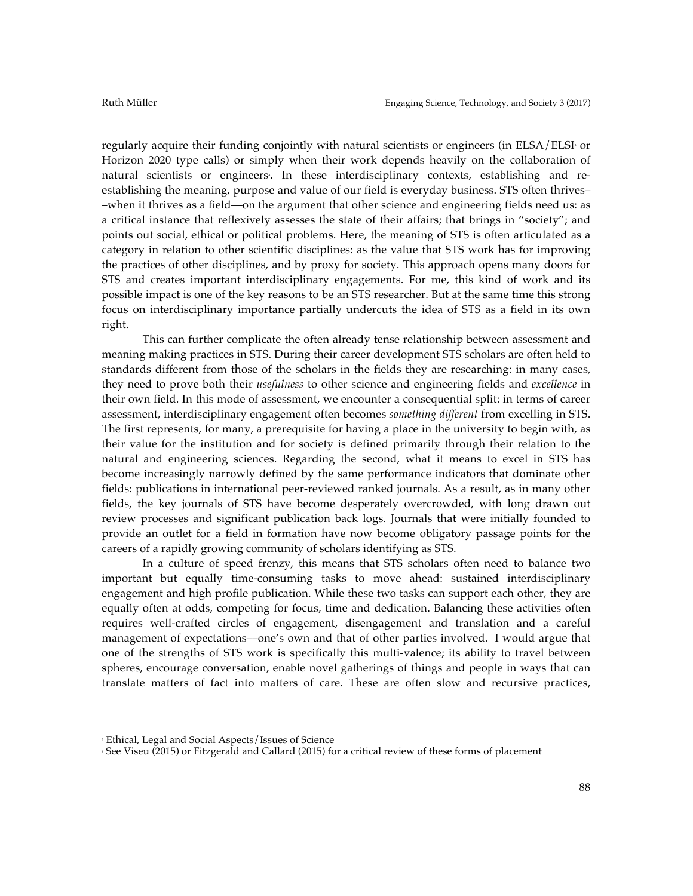regularly acquire their funding conjointly with natural scientists or engineers (in ELSA/ELSI or Horizon 2020 type calls) or simply when their work depends heavily on the collaboration of natural scientists or engineers. In these interdisciplinary contexts, establishing and reestablishing the meaning, purpose and value of our field is everyday business. STS often thrives– –when it thrives as a field––on the argument that other science and engineering fields need us: as a critical instance that reflexively assesses the state of their affairs; that brings in "society"; and points out social, ethical or political problems. Here, the meaning of STS is often articulated as a category in relation to other scientific disciplines: as the value that STS work has for improving the practices of other disciplines, and by proxy for society. This approach opens many doors for STS and creates important interdisciplinary engagements. For me, this kind of work and its possible impact is one of the key reasons to be an STS researcher. But at the same time this strong focus on interdisciplinary importance partially undercuts the idea of STS as a field in its own right.

This can further complicate the often already tense relationship between assessment and meaning making practices in STS. During their career development STS scholars are often held to standards different from those of the scholars in the fields they are researching: in many cases, they need to prove both their *usefulness* to other science and engineering fields and *excellence* in their own field. In this mode of assessment, we encounter a consequential split: in terms of career assessment, interdisciplinary engagement often becomes *something different* from excelling in STS. The first represents, for many, a prerequisite for having a place in the university to begin with, as their value for the institution and for society is defined primarily through their relation to the natural and engineering sciences. Regarding the second, what it means to excel in STS has become increasingly narrowly defined by the same performance indicators that dominate other fields: publications in international peer-reviewed ranked journals. As a result, as in many other fields, the key journals of STS have become desperately overcrowded, with long drawn out review processes and significant publication back logs. Journals that were initially founded to provide an outlet for a field in formation have now become obligatory passage points for the careers of a rapidly growing community of scholars identifying as STS.

In a culture of speed frenzy, this means that STS scholars often need to balance two important but equally time-consuming tasks to move ahead: sustained interdisciplinary engagement and high profile publication. While these two tasks can support each other, they are equally often at odds, competing for focus, time and dedication. Balancing these activities often requires well-crafted circles of engagement, disengagement and translation and a careful management of expectations––one's own and that of other parties involved. I would argue that one of the strengths of STS work is specifically this multi-valence; its ability to travel between spheres, encourage conversation, enable novel gatherings of things and people in ways that can translate matters of fact into matters of care. These are often slow and recursive practices,

 

<sup>3</sup> Ethical, Legal and Social Aspects/Issues of Science

<sup>4</sup> See Viseu (2015) or Fitzgerald and Callard (2015) for a critical review of these forms of placement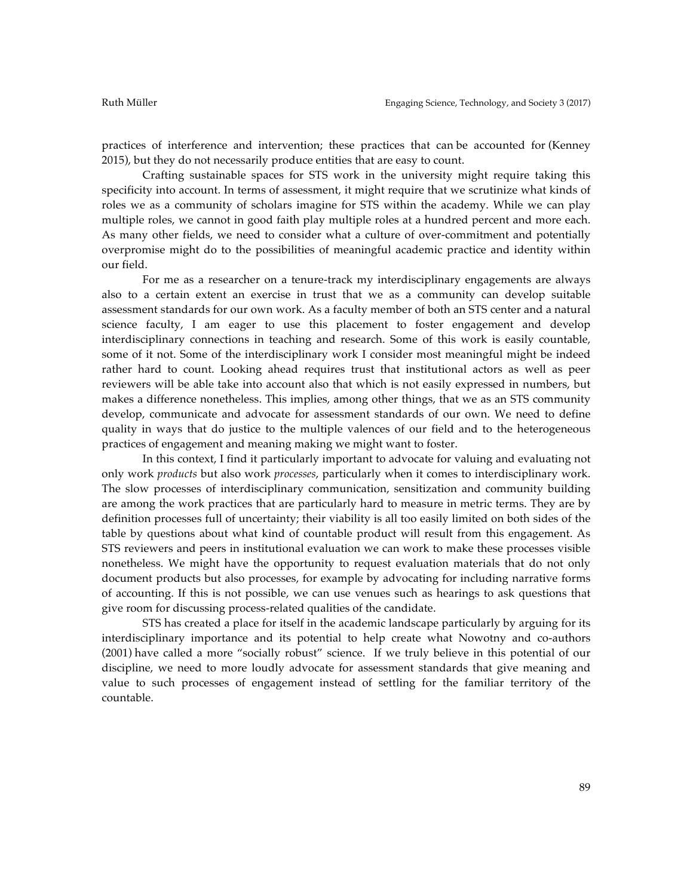practices of interference and intervention; these practices that can be accounted for (Kenney 2015), but they do not necessarily produce entities that are easy to count.

Crafting sustainable spaces for STS work in the university might require taking this specificity into account. In terms of assessment, it might require that we scrutinize what kinds of roles we as a community of scholars imagine for STS within the academy. While we can play multiple roles, we cannot in good faith play multiple roles at a hundred percent and more each. As many other fields, we need to consider what a culture of over-commitment and potentially overpromise might do to the possibilities of meaningful academic practice and identity within our field.

For me as a researcher on a tenure-track my interdisciplinary engagements are always also to a certain extent an exercise in trust that we as a community can develop suitable assessment standards for our own work. As a faculty member of both an STS center and a natural science faculty, I am eager to use this placement to foster engagement and develop interdisciplinary connections in teaching and research. Some of this work is easily countable, some of it not. Some of the interdisciplinary work I consider most meaningful might be indeed rather hard to count. Looking ahead requires trust that institutional actors as well as peer reviewers will be able take into account also that which is not easily expressed in numbers, but makes a difference nonetheless. This implies, among other things, that we as an STS community develop, communicate and advocate for assessment standards of our own. We need to define quality in ways that do justice to the multiple valences of our field and to the heterogeneous practices of engagement and meaning making we might want to foster.

In this context, I find it particularly important to advocate for valuing and evaluating not only work *products* but also work *processes*, particularly when it comes to interdisciplinary work. The slow processes of interdisciplinary communication, sensitization and community building are among the work practices that are particularly hard to measure in metric terms. They are by definition processes full of uncertainty; their viability is all too easily limited on both sides of the table by questions about what kind of countable product will result from this engagement. As STS reviewers and peers in institutional evaluation we can work to make these processes visible nonetheless. We might have the opportunity to request evaluation materials that do not only document products but also processes, for example by advocating for including narrative forms of accounting. If this is not possible, we can use venues such as hearings to ask questions that give room for discussing process-related qualities of the candidate.

STS has created a place for itself in the academic landscape particularly by arguing for its interdisciplinary importance and its potential to help create what Nowotny and co-authors (2001) have called a more "socially robust" science. If we truly believe in this potential of our discipline, we need to more loudly advocate for assessment standards that give meaning and value to such processes of engagement instead of settling for the familiar territory of the countable.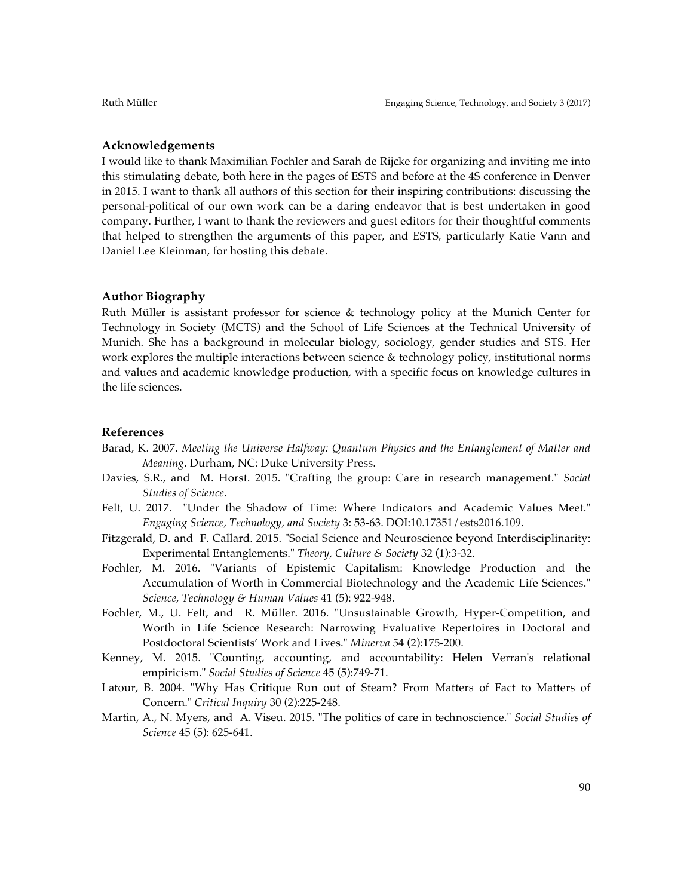# **Acknowledgements**

I would like to thank Maximilian Fochler and Sarah de Rijcke for organizing and inviting me into this stimulating debate, both here in the pages of ESTS and before at the 4S conference in Denver in 2015. I want to thank all authors of this section for their inspiring contributions: discussing the personal-political of our own work can be a daring endeavor that is best undertaken in good company. Further, I want to thank the reviewers and guest editors for their thoughtful comments that helped to strengthen the arguments of this paper, and ESTS, particularly Katie Vann and Daniel Lee Kleinman, for hosting this debate.

### **Author Biography**

Ruth Müller is assistant professor for science & technology policy at the Munich Center for Technology in Society (MCTS) and the School of Life Sciences at the Technical University of Munich. She has a background in molecular biology, sociology, gender studies and STS. Her work explores the multiple interactions between science & technology policy, institutional norms and values and academic knowledge production, with a specific focus on knowledge cultures in the life sciences.

#### **References**

- Barad, K. 2007. *Meeting the Universe Halfway: Quantum Physics and the Entanglement of Matter and Meaning*. Durham, NC: Duke University Press.
- Davies, S.R., and M. Horst. 2015. "Crafting the group: Care in research management." *Social Studies of Science*.
- Felt, U. 2017. "Under the Shadow of Time: Where Indicators and Academic Values Meet." *Engaging Science, Technology, and Society* 3: 53-63. DOI:10.17351/ests2016.109.
- Fitzgerald, D. and F. Callard. 2015. "Social Science and Neuroscience beyond Interdisciplinarity: Experimental Entanglements." *Theory, Culture & Society* 32 (1):3-32.
- Fochler, M. 2016. "Variants of Epistemic Capitalism: Knowledge Production and the Accumulation of Worth in Commercial Biotechnology and the Academic Life Sciences." *Science, Technology & Human Values* 41 (5): 922-948.
- Fochler, M., U. Felt, and R. Müller. 2016. "Unsustainable Growth, Hyper-Competition, and Worth in Life Science Research: Narrowing Evaluative Repertoires in Doctoral and Postdoctoral Scientists' Work and Lives." *Minerva* 54 (2):175-200.
- Kenney, M. 2015. "Counting, accounting, and accountability: Helen Verran's relational empiricism." *Social Studies of Science* 45 (5):749-71.
- Latour, B. 2004. "Why Has Critique Run out of Steam? From Matters of Fact to Matters of Concern." *Critical Inquiry* 30 (2):225-248.
- Martin, A., N. Myers, and A. Viseu. 2015. "The politics of care in technoscience." *Social Studies of Science* 45 (5): 625-641.